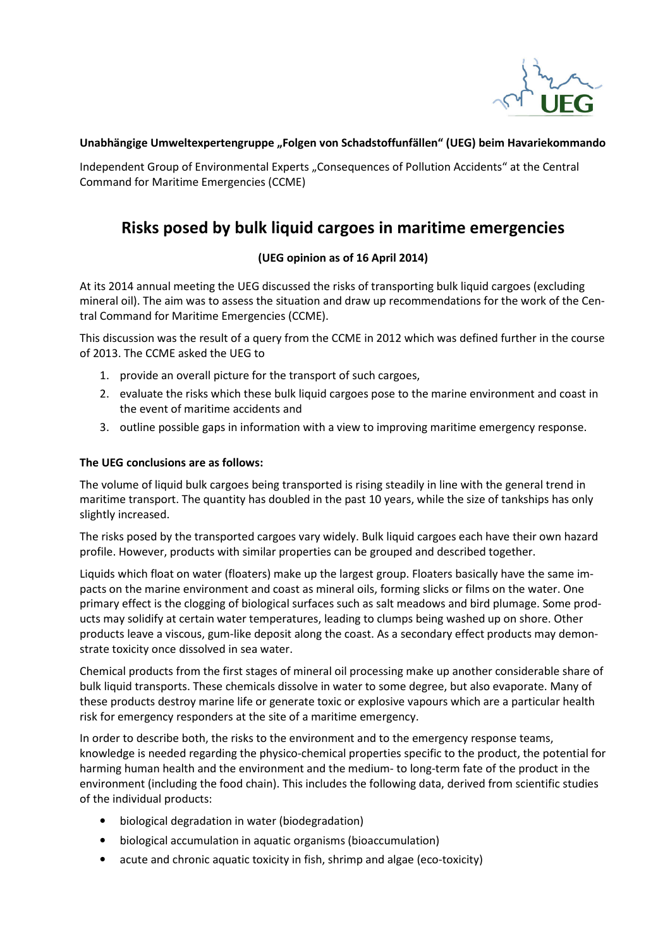

## Unabhängige Umweltexpertengruppe "Folgen von Schadstoffunfällen" (UEG) beim Havariekommando

Independent Group of Environmental Experts "Consequences of Pollution Accidents" at the Central Command for Maritime Emergencies (CCME)

# **Risks posed by bulk liquid cargoes in maritime emergencies**

# **(UEG opinion as of 16 April 2014)**

At its 2014 annual meeting the UEG discussed the risks of transporting bulk liquid cargoes (excluding mineral oil). The aim was to assess the situation and draw up recommendations for the work of the Central Command for Maritime Emergencies (CCME).

This discussion was the result of a query from the CCME in 2012 which was defined further in the course of 2013. The CCME asked the UEG to

- 1. provide an overall picture for the transport of such cargoes,
- 2. evaluate the risks which these bulk liquid cargoes pose to the marine environment and coast in the event of maritime accidents and
- 3. outline possible gaps in information with a view to improving maritime emergency response.

## **The UEG conclusions are as follows:**

The volume of liquid bulk cargoes being transported is rising steadily in line with the general trend in maritime transport. The quantity has doubled in the past 10 years, while the size of tankships has only slightly increased.

The risks posed by the transported cargoes vary widely. Bulk liquid cargoes each have their own hazard profile. However, products with similar properties can be grouped and described together.

Liquids which float on water (floaters) make up the largest group. Floaters basically have the same impacts on the marine environment and coast as mineral oils, forming slicks or films on the water. One primary effect is the clogging of biological surfaces such as salt meadows and bird plumage. Some products may solidify at certain water temperatures, leading to clumps being washed up on shore. Other products leave a viscous, gum-like deposit along the coast. As a secondary effect products may demonstrate toxicity once dissolved in sea water.

Chemical products from the first stages of mineral oil processing make up another considerable share of bulk liquid transports. These chemicals dissolve in water to some degree, but also evaporate. Many of these products destroy marine life or generate toxic or explosive vapours which are a particular health risk for emergency responders at the site of a maritime emergency.

In order to describe both, the risks to the environment and to the emergency response teams, knowledge is needed regarding the physico-chemical properties specific to the product, the potential for harming human health and the environment and the medium- to long-term fate of the product in the environment (including the food chain). This includes the following data, derived from scientific studies of the individual products:

- biological degradation in water (biodegradation)
- biological accumulation in aquatic organisms (bioaccumulation)
- acute and chronic aquatic toxicity in fish, shrimp and algae (eco-toxicity)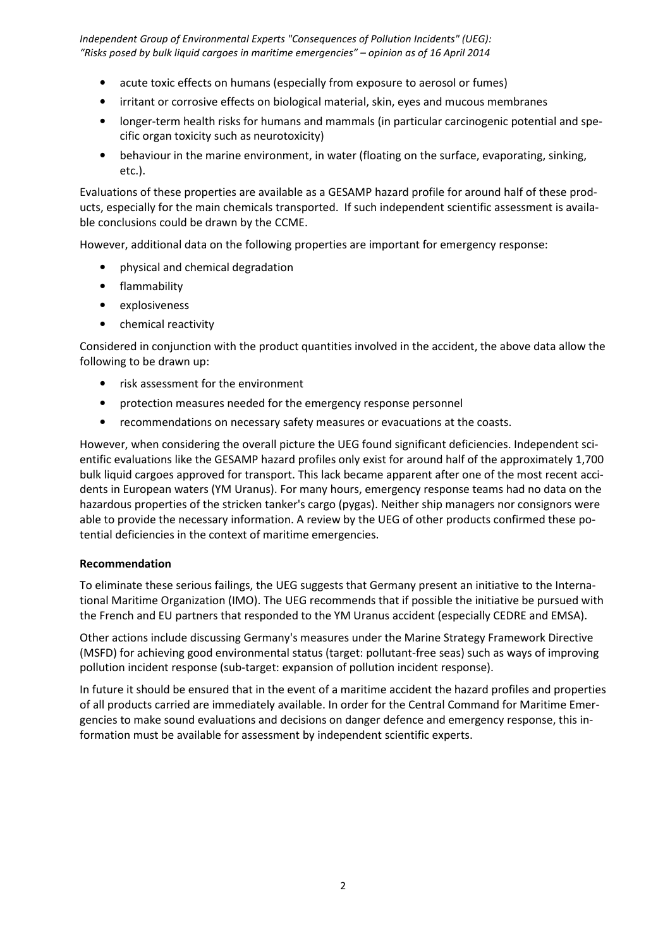*Independent Group of Environmental Experts "Consequences of Pollution Incidents" (UEG): "Risks posed by bulk liquid cargoes in maritime emergencies" – opinion as of 16 April 2014* 

- acute toxic effects on humans (especially from exposure to aerosol or fumes)
- irritant or corrosive effects on biological material, skin, eyes and mucous membranes
- longer-term health risks for humans and mammals (in particular carcinogenic potential and specific organ toxicity such as neurotoxicity)
- behaviour in the marine environment, in water (floating on the surface, evaporating, sinking, etc.).

Evaluations of these properties are available as a GESAMP hazard profile for around half of these products, especially for the main chemicals transported. If such independent scientific assessment is available conclusions could be drawn by the CCME.

However, additional data on the following properties are important for emergency response:

- physical and chemical degradation
- flammability
- explosiveness
- chemical reactivity

Considered in conjunction with the product quantities involved in the accident, the above data allow the following to be drawn up:

- risk assessment for the environment
- protection measures needed for the emergency response personnel
- recommendations on necessary safety measures or evacuations at the coasts.

However, when considering the overall picture the UEG found significant deficiencies. Independent scientific evaluations like the GESAMP hazard profiles only exist for around half of the approximately 1,700 bulk liquid cargoes approved for transport. This lack became apparent after one of the most recent accidents in European waters (YM Uranus). For many hours, emergency response teams had no data on the hazardous properties of the stricken tanker's cargo (pygas). Neither ship managers nor consignors were able to provide the necessary information. A review by the UEG of other products confirmed these potential deficiencies in the context of maritime emergencies.

#### **Recommendation**

To eliminate these serious failings, the UEG suggests that Germany present an initiative to the International Maritime Organization (IMO). The UEG recommends that if possible the initiative be pursued with the French and EU partners that responded to the YM Uranus accident (especially CEDRE and EMSA).

Other actions include discussing Germany's measures under the Marine Strategy Framework Directive (MSFD) for achieving good environmental status (target: pollutant-free seas) such as ways of improving pollution incident response (sub-target: expansion of pollution incident response).

In future it should be ensured that in the event of a maritime accident the hazard profiles and properties of all products carried are immediately available. In order for the Central Command for Maritime Emergencies to make sound evaluations and decisions on danger defence and emergency response, this information must be available for assessment by independent scientific experts.